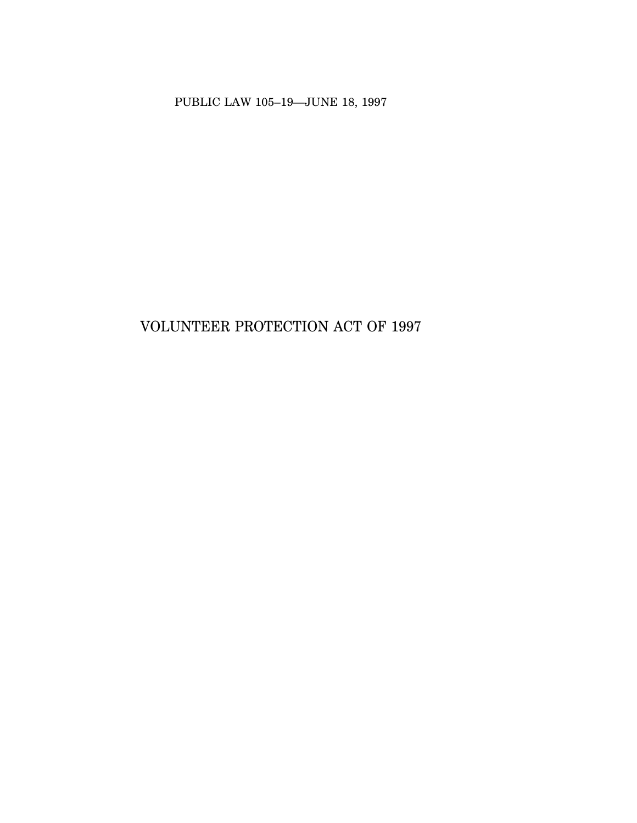PUBLIC LAW 105–19—JUNE 18, 1997

# VOLUNTEER PROTECTION ACT OF 1997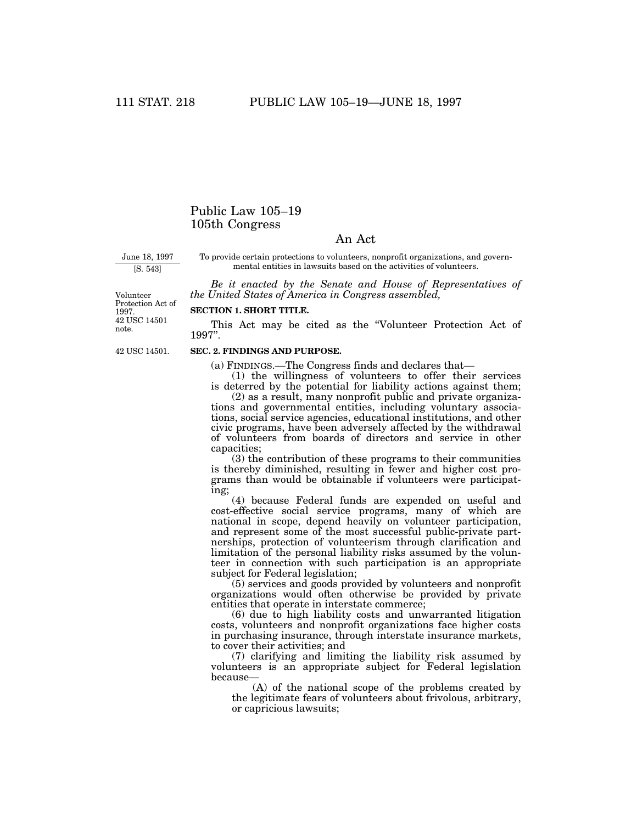# Public Law 105–19 105th Congress

## An Act

June 18, 1997

[S. 543]

To provide certain protections to volunteers, nonprofit organizations, and governmental entities in lawsuits based on the activities of volunteers.

*Be it enacted by the Senate and House of Representatives of the United States of America in Congress assembled,*

42 USC 14501 note. Volunteer Protection Act of 1997.

## **SECTION 1. SHORT TITLE.**

This Act may be cited as the ''Volunteer Protection Act of 1997''.

42 USC 14501.

### **SEC. 2. FINDINGS AND PURPOSE.**

(a) FINDINGS.—The Congress finds and declares that—

(1) the willingness of volunteers to offer their services is deterred by the potential for liability actions against them;

(2) as a result, many nonprofit public and private organizations and governmental entities, including voluntary associations, social service agencies, educational institutions, and other civic programs, have been adversely affected by the withdrawal of volunteers from boards of directors and service in other capacities;

(3) the contribution of these programs to their communities is thereby diminished, resulting in fewer and higher cost programs than would be obtainable if volunteers were participating;

(4) because Federal funds are expended on useful and cost-effective social service programs, many of which are national in scope, depend heavily on volunteer participation, and represent some of the most successful public-private partnerships, protection of volunteerism through clarification and limitation of the personal liability risks assumed by the volunteer in connection with such participation is an appropriate subject for Federal legislation;

(5) services and goods provided by volunteers and nonprofit organizations would often otherwise be provided by private entities that operate in interstate commerce;

(6) due to high liability costs and unwarranted litigation costs, volunteers and nonprofit organizations face higher costs in purchasing insurance, through interstate insurance markets, to cover their activities; and

(7) clarifying and limiting the liability risk assumed by volunteers is an appropriate subject for Federal legislation because—

(A) of the national scope of the problems created by the legitimate fears of volunteers about frivolous, arbitrary, or capricious lawsuits;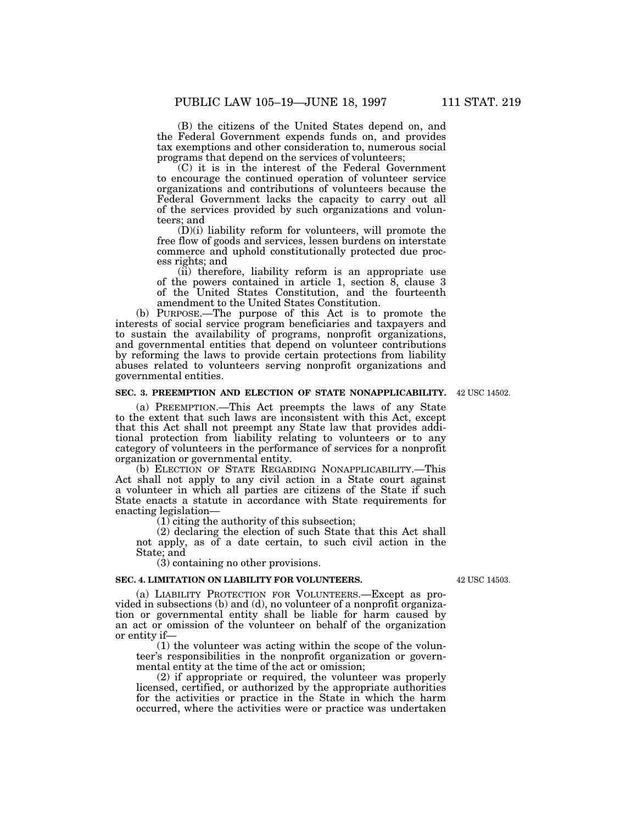(B) the citizens of the United States depend on, and the Federal Government expends funds on, and provides tax exemptions and other consideration to, numerous social programs that depend on the services of volunteers;

(C) it is in the interest of the Federal Government to encourage the continued operation of volunteer service organizations and contributions of volunteers because the Federal Government lacks the capacity to carry out all of the services provided by such organizations and volunteers; and

(D)(i) liability reform for volunteers, will promote the free flow of goods and services, lessen burdens on interstate commerce and uphold constitutionally protected due process rights; and

(ii) therefore, liability reform is an appropriate use of the powers contained in article 1, section 8, clause 3 of the United States Constitution, and the fourteenth amendment to the United States Constitution.

(b) PURPOSE.—The purpose of this Act is to promote the interests of social service program beneficiaries and taxpayers and to sustain the availability of programs, nonprofit organizations, and governmental entities that depend on volunteer contributions by reforming the laws to provide certain protections from liability abuses related to volunteers serving nonprofit organizations and governmental entities.

#### **SEC. 3. PREEMPTION AND ELECTION OF STATE NONAPPLICABILITY.** 42 USC 14502.

(a) PREEMPTION.—This Act preempts the laws of any State to the extent that such laws are inconsistent with this Act, except that this Act shall not preempt any State law that provides additional protection from liability relating to volunteers or to any category of volunteers in the performance of services for a nonprofit organization or governmental entity.

(b) ELECTION OF STATE REGARDING NONAPPLICABILITY.—This Act shall not apply to any civil action in a State court against a volunteer in which all parties are citizens of the State if such State enacts a statute in accordance with State requirements for enacting legislation—

(1) citing the authority of this subsection;

(2) declaring the election of such State that this Act shall not apply, as of a date certain, to such civil action in the State; and

(3) containing no other provisions.

## **SEC. 4. LIMITATION ON LIABILITY FOR VOLUNTEERS.**

42 USC 14503.

(a) LIABILITY PROTECTION FOR VOLUNTEERS.—Except as provided in subsections (b) and (d), no volunteer of a nonprofit organization or governmental entity shall be liable for harm caused by an act or omission of the volunteer on behalf of the organization or entity if—

(1) the volunteer was acting within the scope of the volunteer's responsibilities in the nonprofit organization or governmental entity at the time of the act or omission;

(2) if appropriate or required, the volunteer was properly licensed, certified, or authorized by the appropriate authorities for the activities or practice in the State in which the harm occurred, where the activities were or practice was undertaken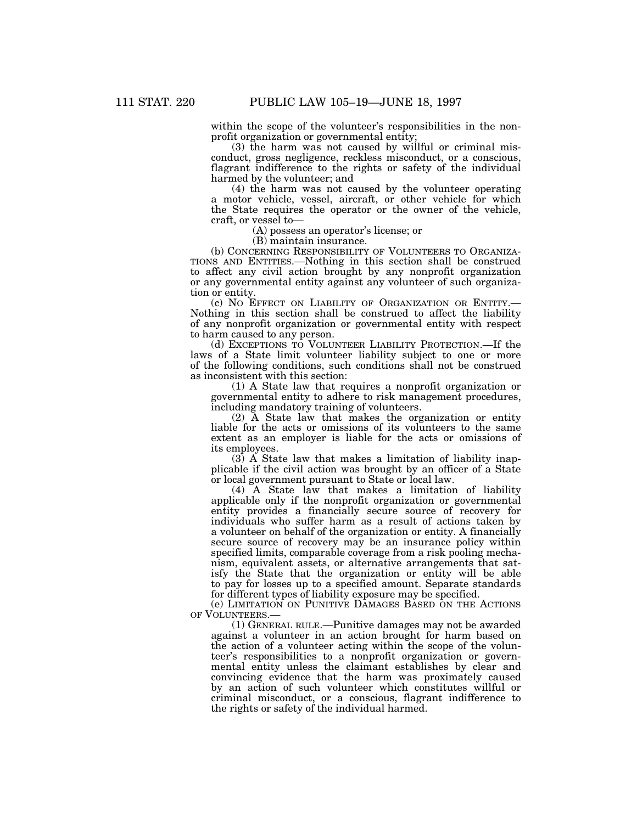within the scope of the volunteer's responsibilities in the nonprofit organization or governmental entity;

(3) the harm was not caused by willful or criminal misconduct, gross negligence, reckless misconduct, or a conscious, flagrant indifference to the rights or safety of the individual harmed by the volunteer; and

(4) the harm was not caused by the volunteer operating a motor vehicle, vessel, aircraft, or other vehicle for which the State requires the operator or the owner of the vehicle, craft, or vessel to—

(A) possess an operator's license; or

(B) maintain insurance.

(b) CONCERNING RESPONSIBILITY OF VOLUNTEERS TO ORGANIZA-TIONS AND ENTITIES.—Nothing in this section shall be construed to affect any civil action brought by any nonprofit organization or any governmental entity against any volunteer of such organization or entity.

(c) NO EFFECT ON LIABILITY OF ORGANIZATION OR ENTITY.— Nothing in this section shall be construed to affect the liability of any nonprofit organization or governmental entity with respect to harm caused to any person.

(d) EXCEPTIONS TO VOLUNTEER LIABILITY PROTECTION.—If the laws of a State limit volunteer liability subject to one or more of the following conditions, such conditions shall not be construed as inconsistent with this section:

(1) A State law that requires a nonprofit organization or governmental entity to adhere to risk management procedures, including mandatory training of volunteers.

(2) A State law that makes the organization or entity liable for the acts or omissions of its volunteers to the same extent as an employer is liable for the acts or omissions of its employees.

 $(3)$  A State law that makes a limitation of liability inapplicable if the civil action was brought by an officer of a State or local government pursuant to State or local law.

(4) A State law that makes a limitation of liability applicable only if the nonprofit organization or governmental entity provides a financially secure source of recovery for individuals who suffer harm as a result of actions taken by a volunteer on behalf of the organization or entity. A financially secure source of recovery may be an insurance policy within specified limits, comparable coverage from a risk pooling mechanism, equivalent assets, or alternative arrangements that satisfy the State that the organization or entity will be able to pay for losses up to a specified amount. Separate standards for different types of liability exposure may be specified.

(e) LIMITATION ON PUNITIVE DAMAGES BASED ON THE ACTIONS OF VOLUNTEERS.—

(1) GENERAL RULE.—Punitive damages may not be awarded against a volunteer in an action brought for harm based on the action of a volunteer acting within the scope of the volunteer's responsibilities to a nonprofit organization or governmental entity unless the claimant establishes by clear and convincing evidence that the harm was proximately caused by an action of such volunteer which constitutes willful or criminal misconduct, or a conscious, flagrant indifference to the rights or safety of the individual harmed.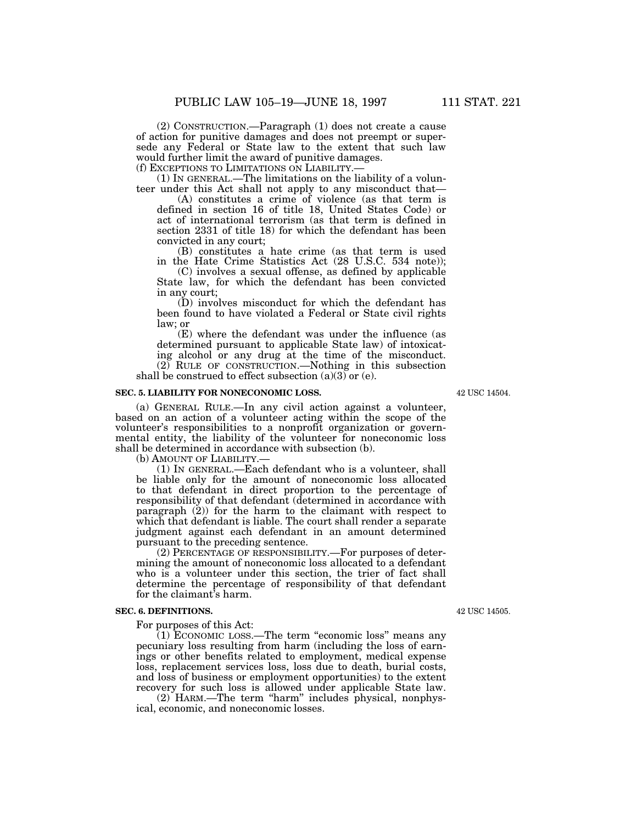(2) CONSTRUCTION.—Paragraph (1) does not create a cause of action for punitive damages and does not preempt or supersede any Federal or State law to the extent that such law would further limit the award of punitive damages.

(f) EXCEPTIONS TO LIMITATIONS ON LIABILITY.—

(1) IN GENERAL.—The limitations on the liability of a volunteer under this Act shall not apply to any misconduct that—

(A) constitutes a crime of violence (as that term is defined in section 16 of title 18, United States Code) or act of international terrorism (as that term is defined in section 2331 of title 18) for which the defendant has been convicted in any court;

(B) constitutes a hate crime (as that term is used in the Hate Crime Statistics Act (28 U.S.C. 534 note));

(C) involves a sexual offense, as defined by applicable State law, for which the defendant has been convicted in any court;

(D) involves misconduct for which the defendant has been found to have violated a Federal or State civil rights law; or

(E) where the defendant was under the influence (as determined pursuant to applicable State law) of intoxicating alcohol or any drug at the time of the misconduct.  $(2)$  RULE OF CONSTRUCTION.—Nothing in this subsection

shall be construed to effect subsection  $(a)(3)$  or  $(e)$ .

## **SEC. 5. LIABILITY FOR NONECONOMIC LOSS.**

(a) GENERAL RULE.—In any civil action against a volunteer, based on an action of a volunteer acting within the scope of the volunteer's responsibilities to a nonprofit organization or governmental entity, the liability of the volunteer for noneconomic loss shall be determined in accordance with subsection (b).

(b) AMOUNT OF LIABILITY.—

(1) IN GENERAL.—Each defendant who is a volunteer, shall be liable only for the amount of noneconomic loss allocated to that defendant in direct proportion to the percentage of responsibility of that defendant (determined in accordance with paragraph (2)) for the harm to the claimant with respect to which that defendant is liable. The court shall render a separate judgment against each defendant in an amount determined pursuant to the preceding sentence.

(2) PERCENTAGE OF RESPONSIBILITY.—For purposes of determining the amount of noneconomic loss allocated to a defendant who is a volunteer under this section, the trier of fact shall determine the percentage of responsibility of that defendant for the claimant's harm.

#### **SEC. 6. DEFINITIONS.**

For purposes of this Act:

(1) ECONOMIC LOSS.—The term ''economic loss'' means any pecuniary loss resulting from harm (including the loss of earnings or other benefits related to employment, medical expense loss, replacement services loss, loss due to death, burial costs, and loss of business or employment opportunities) to the extent recovery for such loss is allowed under applicable State law.

(2) HARM.—The term "harm" includes physical, nonphysical, economic, and noneconomic losses.

42 USC 14504.

42 USC 14505.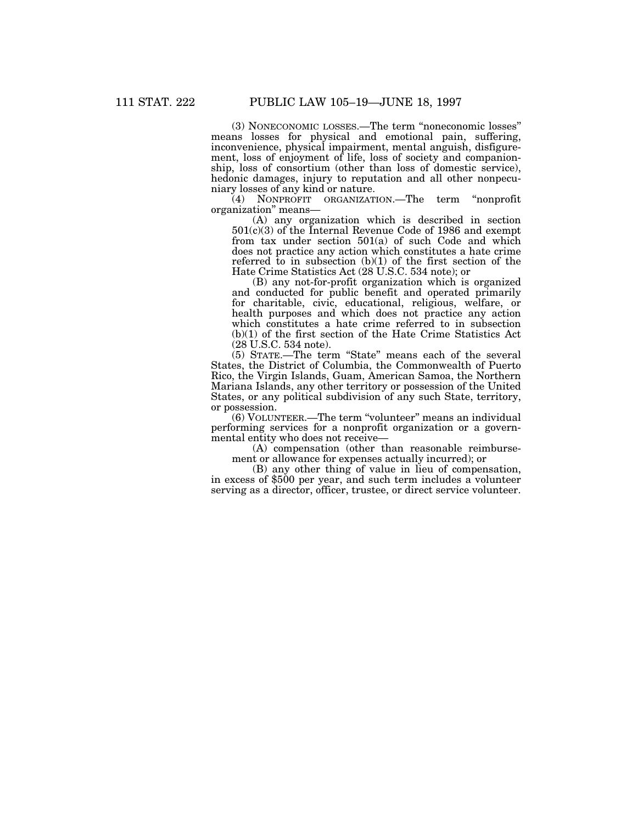(3) NONECONOMIC LOSSES.—The term ''noneconomic losses'' means losses for physical and emotional pain, suffering, inconvenience, physical impairment, mental anguish, disfigurement, loss of enjoyment of life, loss of society and companionship, loss of consortium (other than loss of domestic service), hedonic damages, injury to reputation and all other nonpecuniary losses of any kind or nature.

(4) NONPROFIT ORGANIZATION.—The term ''nonprofit organization'' means—

(A) any organization which is described in section  $501(c)(3)$  of the Internal Revenue Code of 1986 and exempt from tax under section 501(a) of such Code and which does not practice any action which constitutes a hate crime referred to in subsection (b)(1) of the first section of the Hate Crime Statistics Act (28 U.S.C. 534 note); or

(B) any not-for-profit organization which is organized and conducted for public benefit and operated primarily for charitable, civic, educational, religious, welfare, or health purposes and which does not practice any action which constitutes a hate crime referred to in subsection (b)(1) of the first section of the Hate Crime Statistics Act (28 U.S.C. 534 note).

(5) STATE.—The term ''State'' means each of the several States, the District of Columbia, the Commonwealth of Puerto Rico, the Virgin Islands, Guam, American Samoa, the Northern Mariana Islands, any other territory or possession of the United States, or any political subdivision of any such State, territory, or possession.

(6) VOLUNTEER.—The term ''volunteer'' means an individual performing services for a nonprofit organization or a governmental entity who does not receive—

(A) compensation (other than reasonable reimbursement or allowance for expenses actually incurred); or

(B) any other thing of value in lieu of compensation, in excess of \$500 per year, and such term includes a volunteer serving as a director, officer, trustee, or direct service volunteer.